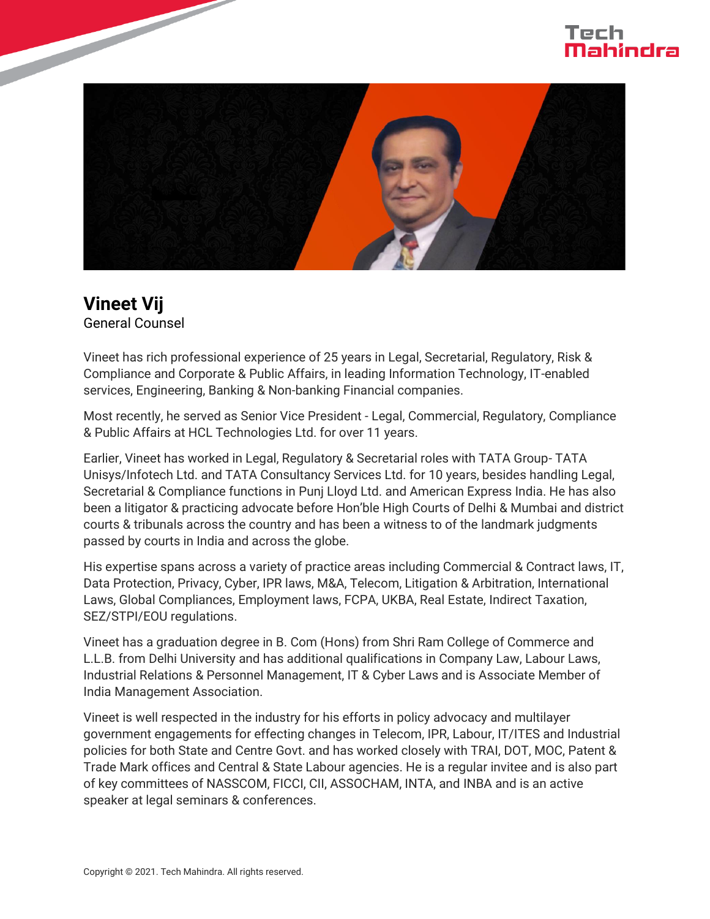## Tech



## **Vineet Vij**

General Counsel

Vineet has rich professional experience of 25 years in Legal, Secretarial, Regulatory, Risk & Compliance and Corporate & Public Affairs, in leading Information Technology, IT-enabled services, Engineering, Banking & Non-banking Financial companies.

Most recently, he served as Senior Vice President - Legal, Commercial, Regulatory, Compliance & Public Affairs at HCL Technologies Ltd. for over 11 years.

Earlier, Vineet has worked in Legal, Regulatory & Secretarial roles with TATA Group- TATA Unisys/Infotech Ltd. and TATA Consultancy Services Ltd. for 10 years, besides handling Legal, Secretarial & Compliance functions in Punj Lloyd Ltd. and American Express India. He has also been a litigator & practicing advocate before Hon'ble High Courts of Delhi & Mumbai and district courts & tribunals across the country and has been a witness to of the landmark judgments passed by courts in India and across the globe.

His expertise spans across a variety of practice areas including Commercial & Contract laws, IT, Data Protection, Privacy, Cyber, IPR laws, M&A, Telecom, Litigation & Arbitration, International Laws, Global Compliances, Employment laws, FCPA, UKBA, Real Estate, Indirect Taxation, SEZ/STPI/EOU regulations.

Vineet has a graduation degree in B. Com (Hons) from Shri Ram College of Commerce and L.L.B. from Delhi University and has additional qualifications in Company Law, Labour Laws, Industrial Relations & Personnel Management, IT & Cyber Laws and is Associate Member of India Management Association.

Vineet is well respected in the industry for his efforts in policy advocacy and multilayer government engagements for effecting changes in Telecom, IPR, Labour, IT/ITES and Industrial policies for both State and Centre Govt. and has worked closely with TRAI, DOT, MOC, Patent & Trade Mark offices and Central & State Labour agencies. He is a regular invitee and is also part of key committees of NASSCOM, FICCI, CII, ASSOCHAM, INTA, and INBA and is an active speaker at legal seminars & conferences.